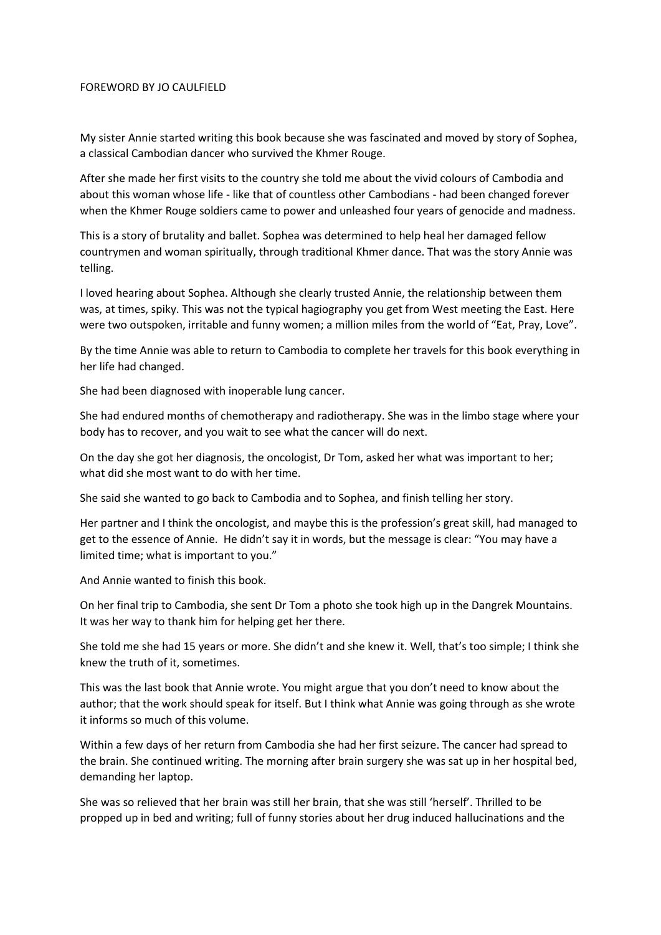## FOREWORD BY JO CAULFIELD

My sister Annie started writing this book because she was fascinated and moved by story of Sophea, a classical Cambodian dancer who survived the Khmer Rouge.

After she made her first visits to the country she told me about the vivid colours of Cambodia and about this woman whose life - like that of countless other Cambodians - had been changed forever when the Khmer Rouge soldiers came to power and unleashed four years of genocide and madness.

This is a story of brutality and ballet. Sophea was determined to help heal her damaged fellow countrymen and woman spiritually, through traditional Khmer dance. That was the story Annie was telling.

I loved hearing about Sophea. Although she clearly trusted Annie, the relationship between them was, at times, spiky. This was not the typical hagiography you get from West meeting the East. Here were two outspoken, irritable and funny women; a million miles from the world of "Eat, Pray, Love".

By the time Annie was able to return to Cambodia to complete her travels for this book everything in her life had changed.

She had been diagnosed with inoperable lung cancer.

She had endured months of chemotherapy and radiotherapy. She was in the limbo stage where your body has to recover, and you wait to see what the cancer will do next.

On the day she got her diagnosis, the oncologist, Dr Tom, asked her what was important to her; what did she most want to do with her time.

She said she wanted to go back to Cambodia and to Sophea, and finish telling her story.

Her partner and I think the oncologist, and maybe this is the profession's great skill, had managed to get to the essence of Annie. He didn't say it in words, but the message is clear: "You may have a limited time; what is important to you."

And Annie wanted to finish this book.

On her final trip to Cambodia, she sent Dr Tom a photo she took high up in the Dangrek Mountains. It was her way to thank him for helping get her there.

She told me she had 15 years or more. She didn't and she knew it. Well, that's too simple; I think she knew the truth of it, sometimes.

This was the last book that Annie wrote. You might argue that you don't need to know about the author; that the work should speak for itself. But I think what Annie was going through as she wrote it informs so much of this volume.

Within a few days of her return from Cambodia she had her first seizure. The cancer had spread to the brain. She continued writing. The morning after brain surgery she was sat up in her hospital bed, demanding her laptop.

She was so relieved that her brain was still her brain, that she was still 'herself'. Thrilled to be propped up in bed and writing; full of funny stories about her drug induced hallucinations and the